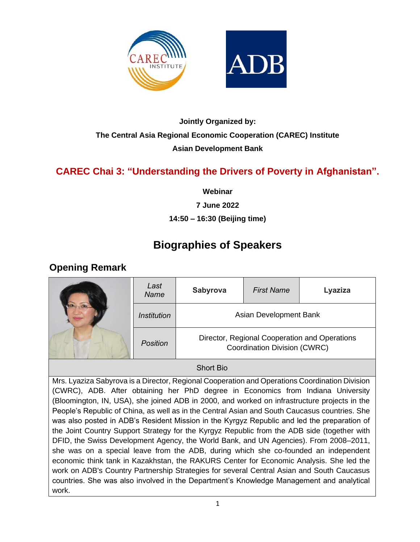



## **Jointly Organized by: The Central Asia Regional Economic Cooperation (CAREC) Institute Asian Development Bank**

## **CAREC Chai 3: "Understanding the Drivers of Poverty in Afghanistan".**

**Webinar**

**7 June 2022**

#### **14:50 – 16:30 (Beijing time)**

# **Biographies of Speakers**

## **Opening Remark**

|  | Last<br><b>Name</b> | <b>Sabyrova</b><br><b>First Name</b>                                          |  | Lyaziza |
|--|---------------------|-------------------------------------------------------------------------------|--|---------|
|  | Institution         | Asian Development Bank                                                        |  |         |
|  | <b>Position</b>     | Director, Regional Cooperation and Operations<br>Coordination Division (CWRC) |  |         |

#### Short Bio

Mrs. Lyaziza Sabyrova is a Director, Regional Cooperation and Operations Coordination Division (CWRC), ADB. After obtaining her PhD degree in Economics from Indiana University (Bloomington, IN, USA), she joined ADB in 2000, and worked on infrastructure projects in the People's Republic of China, as well as in the Central Asian and South Caucasus countries. She was also posted in ADB's Resident Mission in the Kyrgyz Republic and led the preparation of the Joint Country Support Strategy for the Kyrgyz Republic from the ADB side (together with DFID, the Swiss Development Agency, the World Bank, and UN Agencies). From 2008–2011, she was on a special leave from the ADB, during which she co-founded an independent economic think tank in Kazakhstan, the RAKURS Center for Economic Analysis. She led the work on ADB's Country Partnership Strategies for several Central Asian and South Caucasus countries. She was also involved in the Department's Knowledge Management and analytical work.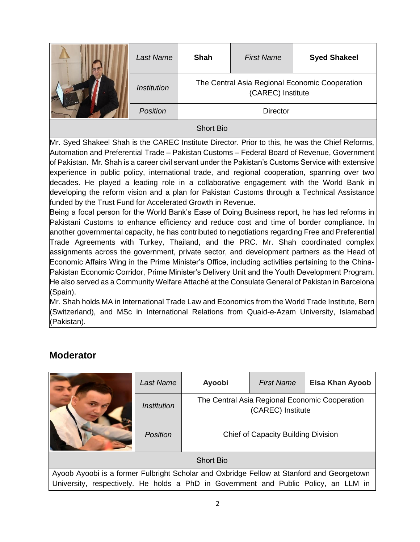|                  | Last Name          | <b>Shah</b>                                                         | <b>First Name</b> | <b>Syed Shakeel</b> |
|------------------|--------------------|---------------------------------------------------------------------|-------------------|---------------------|
|                  | <b>Institution</b> | The Central Asia Regional Economic Cooperation<br>(CAREC) Institute |                   |                     |
|                  | <b>Position</b>    | <b>Director</b>                                                     |                   |                     |
| <b>Short Bio</b> |                    |                                                                     |                   |                     |

Mr. Syed Shakeel Shah is the CAREC Institute Director. Prior to this, he was the Chief Reforms, Automation and Preferential Trade – Pakistan Customs – Federal Board of Revenue, Government of Pakistan. Mr. Shah is a career civil servant under the Pakistan's Customs Service with extensive experience in public policy, international trade, and regional cooperation, spanning over two decades. He played a leading role in a collaborative engagement with the World Bank in developing the reform vision and a plan for Pakistan Customs through a Technical Assistance funded by the Trust Fund for Accelerated Growth in Revenue.

Being a focal person for the World Bank's Ease of Doing Business report, he has led reforms in Pakistani Customs to enhance efficiency and reduce cost and time of border compliance. In another governmental capacity, he has contributed to negotiations regarding Free and Preferential Trade Agreements with Turkey, Thailand, and the PRC. Mr. Shah coordinated complex assignments across the government, private sector, and development partners as the Head of Economic Affairs Wing in the Prime Minister's Office, including activities pertaining to the China-Pakistan Economic Corridor, Prime Minister's Delivery Unit and the Youth Development Program. He also served as a Community Welfare Attaché at the Consulate General of Pakistan in Barcelona (Spain).

Mr. Shah holds MA in International Trade Law and Economics from the World Trade Institute, Bern (Switzerland), and MSc in International Relations from Quaid-e-Azam University, Islamabad (Pakistan).

### **Moderator**

|                                                                                           | Last Name                                                                           | Ayoobi                                                              | <b>First Name</b> | <b>Eisa Khan Ayoob</b> |
|-------------------------------------------------------------------------------------------|-------------------------------------------------------------------------------------|---------------------------------------------------------------------|-------------------|------------------------|
|                                                                                           | <i><u><b>Institution</b></u></i>                                                    | The Central Asia Regional Economic Cooperation<br>(CAREC) Institute |                   |                        |
|                                                                                           | <b>Position</b>                                                                     | <b>Chief of Capacity Building Division</b>                          |                   |                        |
| <b>Short Bio</b>                                                                          |                                                                                     |                                                                     |                   |                        |
| Ayoob Ayoobi is a former Fulbright Scholar and Oxbridge Fellow at Stanford and Georgetown |                                                                                     |                                                                     |                   |                        |
|                                                                                           | University, respectively. He holds a PhD in Government and Public Policy, an LLM in |                                                                     |                   |                        |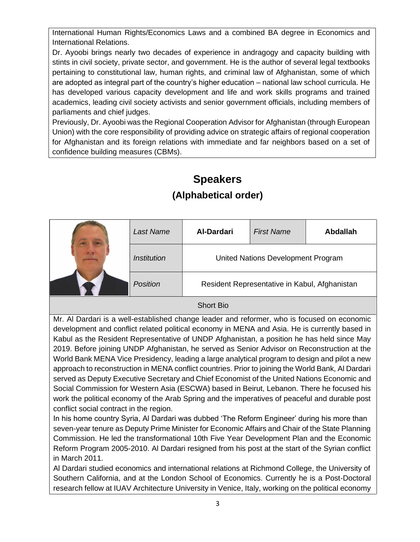International Human Rights/Economics Laws and a combined BA degree in Economics and International Relations.

Dr. Ayoobi brings nearly two decades of experience in andragogy and capacity building with stints in civil society, private sector, and government. He is the author of several legal textbooks pertaining to constitutional law, human rights, and criminal law of Afghanistan, some of which are adopted as integral part of the country's higher education – national law school curricula. He has developed various capacity development and life and work skills programs and trained academics, leading civil society activists and senior government officials, including members of parliaments and chief judges.

Previously, Dr. Ayoobi was the Regional Cooperation Advisor for Afghanistan (through European Union) with the core responsibility of providing advice on strategic affairs of regional cooperation for Afghanistan and its foreign relations with immediate and far neighbors based on a set of confidence building measures (CBMs).

# **Speakers (Alphabetical order)**

|  | Last Name   | <b>Al-Dardari</b>                             | <b>First Name</b> | <b>Abdallah</b> |
|--|-------------|-----------------------------------------------|-------------------|-----------------|
|  | Institution | United Nations Development Program            |                   |                 |
|  | Position    | Resident Representative in Kabul, Afghanistan |                   |                 |
|  |             |                                               |                   |                 |

#### Short Bio

Mr. Al Dardari is a well-established change leader and reformer, who is focused on economic development and conflict related political economy in MENA and Asia. He is currently based in Kabul as the Resident Representative of UNDP Afghanistan, a position he has held since May 2019. Before joining UNDP Afghanistan, he served as Senior Advisor on Reconstruction at the World Bank MENA Vice Presidency, leading a large analytical program to design and pilot a new approach to reconstruction in MENA conflict countries. Prior to joining the World Bank, Al Dardari served as Deputy Executive Secretary and Chief Economist of the United Nations Economic and Social Commission for Western Asia (ESCWA) based in Beirut, Lebanon. There he focused his work the political economy of the Arab Spring and the imperatives of peaceful and durable post conflict social contract in the region.

In his home country Syria, Al Dardari was dubbed 'The Reform Engineer' during his more than seven-year tenure as Deputy Prime Minister for Economic Affairs and Chair of the State Planning Commission. He led the transformational 10th Five Year Development Plan and the Economic Reform Program 2005-2010. Al Dardari resigned from his post at the start of the Syrian conflict in March 2011.

Al Dardari studied economics and international relations at Richmond College, the University of Southern California, and at the London School of Economics. Currently he is a Post-Doctoral research fellow at IUAV Architecture University in Venice, Italy, working on the political economy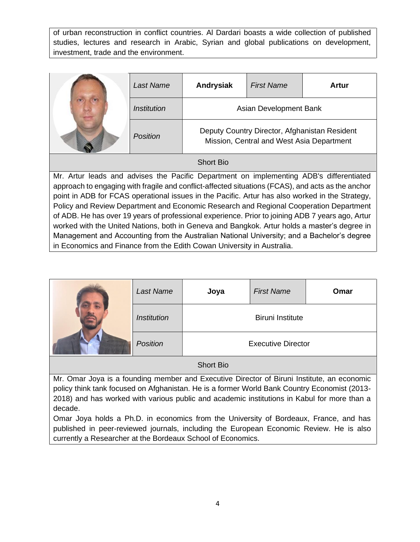of urban reconstruction in conflict countries. Al Dardari boasts a wide collection of published studies, lectures and research in Arabic, Syrian and global publications on development, investment, trade and the environment.

|                  | Last Name          | Andrysiak                                                                                  | <b>First Name</b> | Artur |
|------------------|--------------------|--------------------------------------------------------------------------------------------|-------------------|-------|
|                  | <i>Institution</i> | Asian Development Bank                                                                     |                   |       |
|                  | Position           | Deputy Country Director, Afghanistan Resident<br>Mission, Central and West Asia Department |                   |       |
| <b>Short Bio</b> |                    |                                                                                            |                   |       |

Mr. Artur leads and advises the Pacific Department on implementing ADB's differentiated approach to engaging with fragile and conflict-affected situations (FCAS), and acts as the anchor point in ADB for FCAS operational issues in the Pacific. Artur has also worked in the Strategy, Policy and Review Department and Economic Research and Regional Cooperation Department of ADB. He has over 19 years of professional experience. Prior to joining ADB 7 years ago, Artur worked with the United Nations, both in Geneva and Bangkok. Artur holds a master's degree in Management and Accounting from the Australian National University; and a Bachelor's degree in Economics and Finance from the Edith Cowan University in Australia.

|  | Last Name          | Joya                    | <b>First Name</b>         | Omar |
|--|--------------------|-------------------------|---------------------------|------|
|  | <b>Institution</b> | <b>Biruni Institute</b> |                           |      |
|  | Position           |                         | <b>Executive Director</b> |      |

Short Bio

Mr. Omar Joya is a founding member and Executive Director of Biruni Institute, an economic policy think tank focused on Afghanistan. He is a former World Bank Country Economist (2013- 2018) and has worked with various public and academic institutions in Kabul for more than a decade.

Omar Joya holds a Ph.D. in economics from the University of Bordeaux, France, and has published in peer-reviewed journals, including the European Economic Review. He is also currently a Researcher at the Bordeaux School of Economics.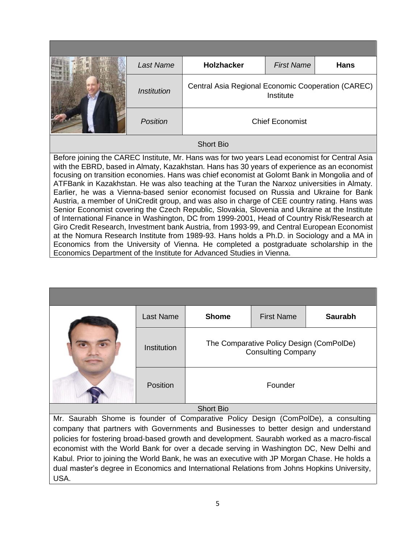|                                                                                                                                                                                                                                                                                                                                                                                                                                                                                                                                                                                                                                                                                                                                                                                                                                                                                                                                                                                                                                                                                                                                                         | Last Name          | <b>Holzhacker</b>                                               | <b>First Name</b>      | <b>Hans</b> |
|---------------------------------------------------------------------------------------------------------------------------------------------------------------------------------------------------------------------------------------------------------------------------------------------------------------------------------------------------------------------------------------------------------------------------------------------------------------------------------------------------------------------------------------------------------------------------------------------------------------------------------------------------------------------------------------------------------------------------------------------------------------------------------------------------------------------------------------------------------------------------------------------------------------------------------------------------------------------------------------------------------------------------------------------------------------------------------------------------------------------------------------------------------|--------------------|-----------------------------------------------------------------|------------------------|-------------|
|                                                                                                                                                                                                                                                                                                                                                                                                                                                                                                                                                                                                                                                                                                                                                                                                                                                                                                                                                                                                                                                                                                                                                         | <b>Institution</b> | Central Asia Regional Economic Cooperation (CAREC)<br>Institute |                        |             |
|                                                                                                                                                                                                                                                                                                                                                                                                                                                                                                                                                                                                                                                                                                                                                                                                                                                                                                                                                                                                                                                                                                                                                         | <b>Position</b>    |                                                                 | <b>Chief Economist</b> |             |
| <b>Short Bio</b>                                                                                                                                                                                                                                                                                                                                                                                                                                                                                                                                                                                                                                                                                                                                                                                                                                                                                                                                                                                                                                                                                                                                        |                    |                                                                 |                        |             |
| Before joining the CAREC Institute, Mr. Hans was for two years Lead economist for Central Asia<br>with the EBRD, based in Almaty, Kazakhstan. Hans has 30 years of experience as an economist<br>focusing on transition economies. Hans was chief economist at Golomt Bank in Mongolia and of<br>ATFBank in Kazakhstan. He was also teaching at the Turan the Narxoz universities in Almaty.<br>Earlier, he was a Vienna-based senior economist focused on Russia and Ukraine for Bank<br>Austria, a member of UniCredit group, and was also in charge of CEE country rating. Hans was<br>Senior Economist covering the Czech Republic, Slovakia, Slovenia and Ukraine at the Institute<br>of International Finance in Washington, DC from 1999-2001, Head of Country Risk/Research at<br>Giro Credit Research, Investment bank Austria, from 1993-99, and Central European Economist<br>at the Nomura Research Institute from 1989-93. Hans holds a Ph.D. in Sociology and a MA in<br>Economics from the University of Vienna. He completed a postgraduate scholarship in the<br>Economics Department of the Institute for Advanced Studies in Vienna. |                    |                                                                 |                        |             |

|                  | <b>Last Name</b> | <b>Shome</b>                                                          | <b>First Name</b> | <b>Saurabh</b> |
|------------------|------------------|-----------------------------------------------------------------------|-------------------|----------------|
|                  | Institution      | The Comparative Policy Design (ComPolDe)<br><b>Consulting Company</b> |                   |                |
|                  | Position         |                                                                       | Founder           |                |
| <b>Short Bio</b> |                  |                                                                       |                   |                |

Mr. Saurabh Shome is founder of Comparative Policy Design (ComPolDe), a consulting company that partners with Governments and Businesses to better design and understand policies for fostering broad-based growth and development. Saurabh worked as a macro-fiscal economist with the World Bank for over a decade serving in Washington DC, New Delhi and Kabul. Prior to joining the World Bank, he was an executive with JP Morgan Chase. He holds a dual master's degree in Economics and International Relations from Johns Hopkins University, USA.